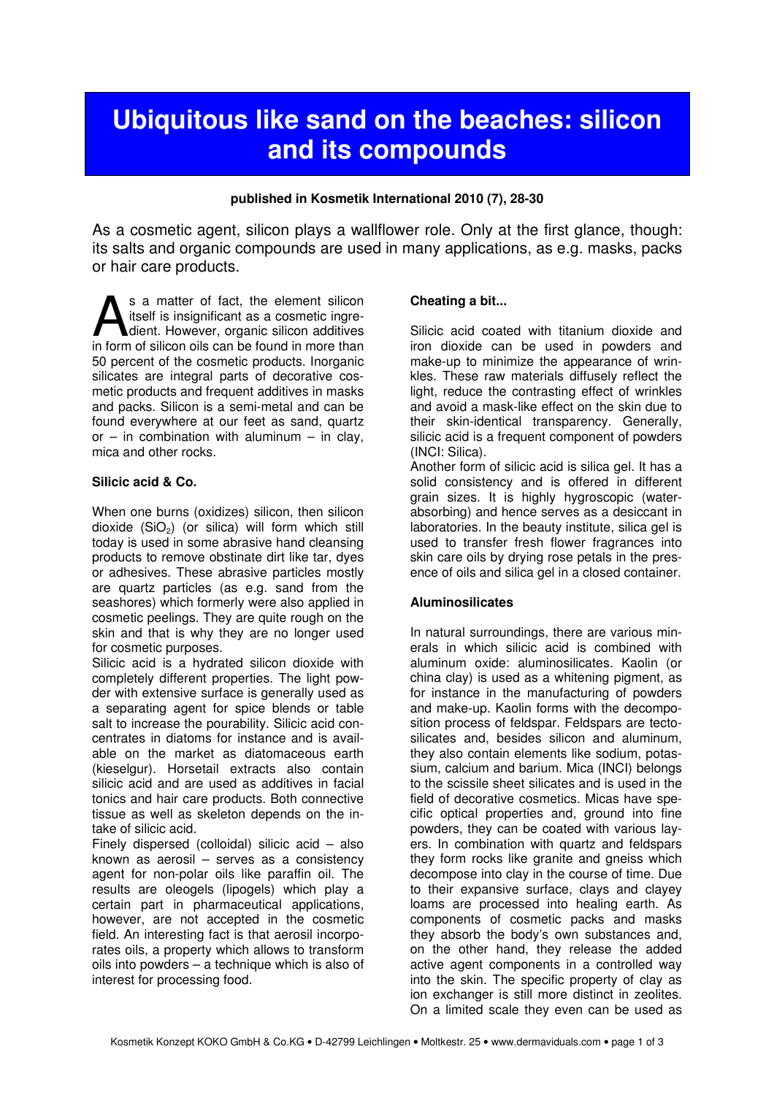# Ubiquitous like sand on the beaches: silicon and its compounds

#### published in Kosmetik International 2010 (7), 28-30

As a cosmetic agent, silicon plays a wallflower role. Only at the first glance, though: its salts and organic compounds are used in many applications, as e.g. masks, packs or hair care products.

s a matter of fact, the element silicon itself is insignificant as a cosmetic ingredient. However, organic silicon additives S a matter of fact, the element silicon itself is insignificant as a cosmetic ingredient. However, organic silicon additives in form of silicon oils can be found in more than 50 percent of the cosmetic products. Inorganic silicates are integral parts of decorative cosmetic products and frequent additives in masks and packs. Silicon is a semi-metal and can be found everywhere at our feet as sand, quartz or – in combination with aluminum – in clay. mica and other rocks.

## Silicic acid & Co.

When one burns (oxidizes) silicon, then silicon dioxide  $(SiO<sub>2</sub>)$  (or silica) will form which still today is used in some abrasive hand cleansing products to remove obstinate dirt like tar, dyes or adhesives. These abrasive particles mostly are quartz particles (as e.g. sand from the seashores) which formerly were also applied in cosmetic peelings. They are quite rough on the skin and that is why they are no longer used for cosmetic purposes.

Silicic acid is a hydrated silicon dioxide with completely different properties. The light powder with extensive surface is generally used as a separating agent for spice blends or table salt to increase the pourability. Silicic acid concentrates in diatoms for instance and is available on the market as diatomaceous earth (kieselgur). Horsetail extracts also contain silicic acid and are used as additives in facial tonics and hair care products. Both connective tissue as well as skeleton depends on the intake of silicic acid.

Finely dispersed (colloidal) silicic acid – also known as aerosil – serves as a consistency agent for non-polar oils like paraffin oil. The results are oleogels (lipogels) which play a certain part in pharmaceutical applications, however, are not accepted in the cosmetic field. An interesting fact is that aerosil incorporates oils, a property which allows to transform oils into powders – a technique which is also of interest for processing food.

#### Cheating a bit...

Silicic acid coated with titanium dioxide and iron dioxide can be used in powders and make-up to minimize the appearance of wrinkles. These raw materials diffusely reflect the light, reduce the contrasting effect of wrinkles and avoid a mask-like effect on the skin due to their skin-identical transparency. Generally, silicic acid is a frequent component of powders (INCI: Silica).

Another form of silicic acid is silica gel. It has a solid consistency and is offered in different grain sizes. It is highly hygroscopic (waterabsorbing) and hence serves as a desiccant in laboratories. In the beauty institute, silica gel is used to transfer fresh flower fragrances into skin care oils by drying rose petals in the presence of oils and silica gel in a closed container.

#### Aluminosilicates

In natural surroundings, there are various minerals in which silicic acid is combined with aluminum oxide: aluminosilicates. Kaolin (or china clay) is used as a whitening pigment, as for instance in the manufacturing of powders and make-up. Kaolin forms with the decomposition process of feldspar. Feldspars are tectosilicates and, besides silicon and aluminum, they also contain elements like sodium, potassium, calcium and barium. Mica (INCI) belongs to the scissile sheet silicates and is used in the field of decorative cosmetics. Micas have specific optical properties and, ground into fine powders, they can be coated with various layers. In combination with quartz and feldspars they form rocks like granite and gneiss which decompose into clay in the course of time. Due to their expansive surface, clays and clayey loams are processed into healing earth. As components of cosmetic packs and masks they absorb the body's own substances and, on the other hand, they release the added active agent components in a controlled way into the skin. The specific property of clay as ion exchanger is still more distinct in zeolites. On a limited scale they even can be used as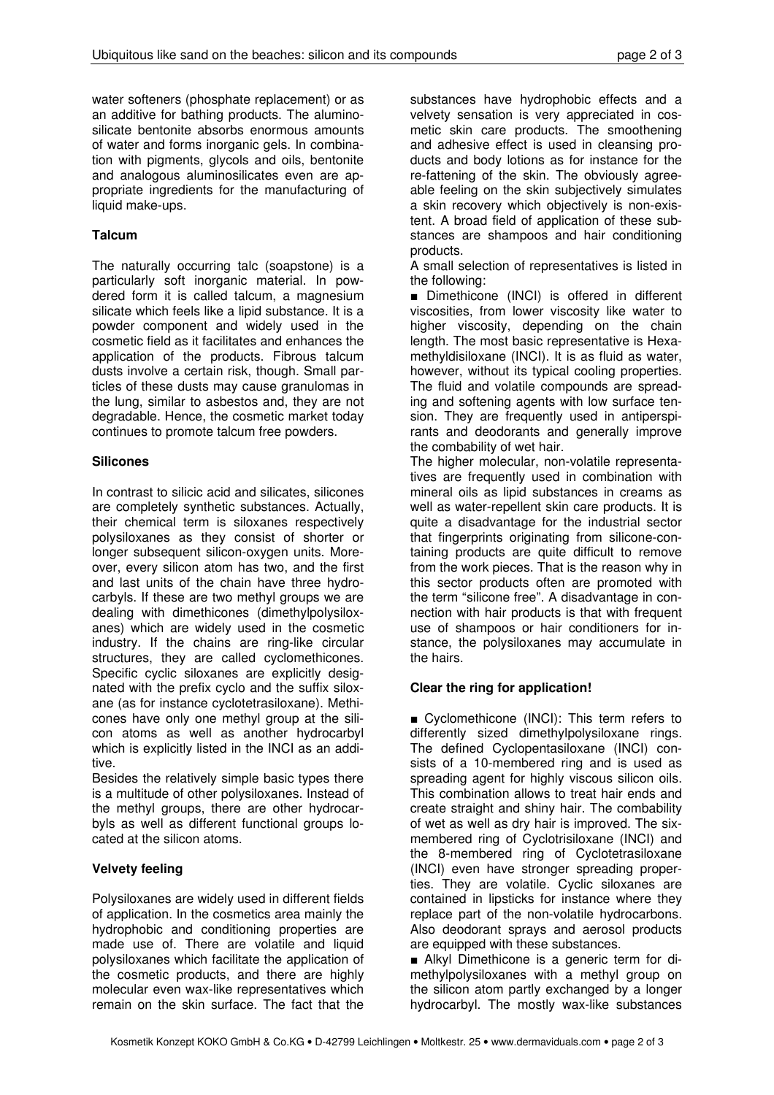water softeners (phosphate replacement) or as an additive for bathing products. The aluminosilicate bentonite absorbs enormous amounts of water and forms inorganic gels. In combination with pigments, glycols and oils, bentonite and analogous aluminosilicates even are appropriate ingredients for the manufacturing of liquid make-ups.

## **Talcum**

The naturally occurring talc (soapstone) is a particularly soft inorganic material. In powdered form it is called talcum, a magnesium silicate which feels like a lipid substance. It is a powder component and widely used in the cosmetic field as it facilitates and enhances the application of the products. Fibrous talcum dusts involve a certain risk, though. Small particles of these dusts may cause granulomas in the lung, similar to asbestos and, they are not degradable. Hence, the cosmetic market today continues to promote talcum free powders.

## **Silicones**

In contrast to silicic acid and silicates, silicones are completely synthetic substances. Actually, their chemical term is siloxanes respectively polysiloxanes as they consist of shorter or longer subsequent silicon-oxygen units. Moreover, every silicon atom has two, and the first and last units of the chain have three hydrocarbyls. If these are two methyl groups we are dealing with dimethicones (dimethylpolysiloxanes) which are widely used in the cosmetic industry. If the chains are ring-like circular structures, they are called cyclomethicones. Specific cyclic siloxanes are explicitly designated with the prefix cyclo and the suffix siloxane (as for instance cyclotetrasiloxane). Methicones have only one methyl group at the silicon atoms as well as another hydrocarbyl which is explicitly listed in the INCI as an additive.

Besides the relatively simple basic types there is a multitude of other polysiloxanes. Instead of the methyl groups, there are other hydrocarbyls as well as different functional groups located at the silicon atoms.

# Velvety feeling

Polysiloxanes are widely used in different fields of application. In the cosmetics area mainly the hydrophobic and conditioning properties are made use of. There are volatile and liquid polysiloxanes which facilitate the application of the cosmetic products, and there are highly molecular even wax-like representatives which remain on the skin surface. The fact that the

substances have hydrophobic effects and a velvety sensation is very appreciated in cosmetic skin care products. The smoothening and adhesive effect is used in cleansing products and body lotions as for instance for the re-fattening of the skin. The obviously agreeable feeling on the skin subjectively simulates a skin recovery which objectively is non-existent. A broad field of application of these substances are shampoos and hair conditioning products.

A small selection of representatives is listed in the following:

■ Dimethicone (INCI) is offered in different viscosities, from lower viscosity like water to higher viscosity, depending on the chain length. The most basic representative is Hexamethyldisiloxane (INCI). It is as fluid as water, however, without its typical cooling properties. The fluid and volatile compounds are spreading and softening agents with low surface tension. They are frequently used in antiperspirants and deodorants and generally improve the combability of wet hair.

The higher molecular, non-volatile representatives are frequently used in combination with mineral oils as lipid substances in creams as well as water-repellent skin care products. It is quite a disadvantage for the industrial sector that fingerprints originating from silicone-containing products are quite difficult to remove from the work pieces. That is the reason why in this sector products often are promoted with the term "silicone free". A disadvantage in connection with hair products is that with frequent use of shampoos or hair conditioners for instance, the polysiloxanes may accumulate in the hairs.

# Clear the ring for application!

■ Cyclomethicone (INCI): This term refers to differently sized dimethylpolysiloxane rings. The defined Cyclopentasiloxane (INCI) consists of a 10-membered ring and is used as spreading agent for highly viscous silicon oils. This combination allows to treat hair ends and create straight and shiny hair. The combability of wet as well as dry hair is improved. The sixmembered ring of Cyclotrisiloxane (INCI) and the 8-membered ring of Cyclotetrasiloxane (INCI) even have stronger spreading properties. They are volatile. Cyclic siloxanes are contained in lipsticks for instance where they replace part of the non-volatile hydrocarbons. Also deodorant sprays and aerosol products are equipped with these substances.

■ Alkyl Dimethicone is a generic term for dimethylpolysiloxanes with a methyl group on the silicon atom partly exchanged by a longer hydrocarbyl. The mostly wax-like substances